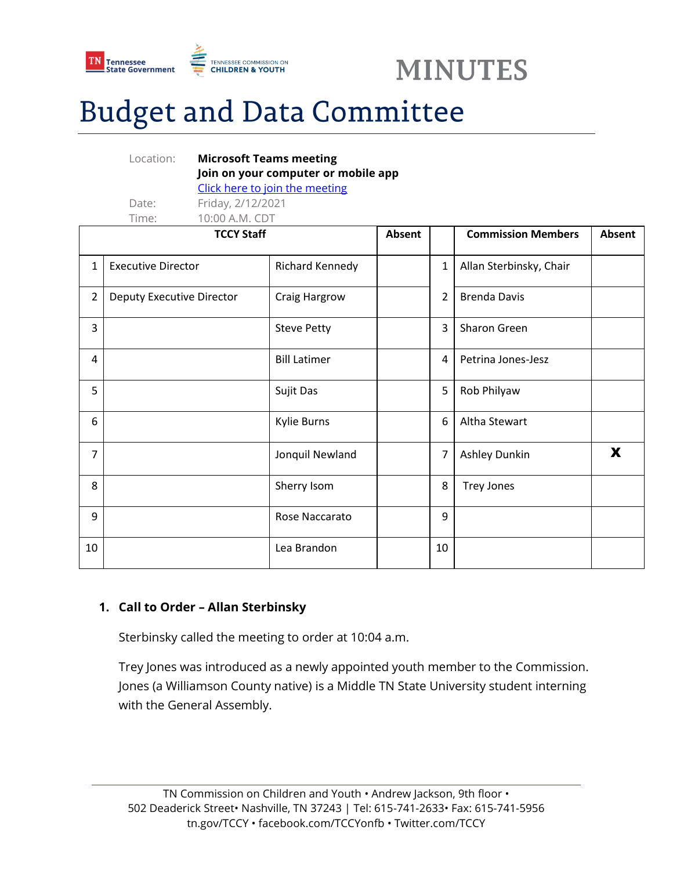



# **Budget and Data Committee**

|                   | Location:                 | <b>Microsoft Teams meeting</b><br>Join on your computer or mobile app |                                |               |                          |                           |               |
|-------------------|---------------------------|-----------------------------------------------------------------------|--------------------------------|---------------|--------------------------|---------------------------|---------------|
|                   |                           |                                                                       | Click here to join the meeting |               |                          |                           |               |
|                   | Date:                     | Friday, 2/12/2021                                                     |                                |               |                          |                           |               |
|                   | Time:                     | 10:00 A.M. CDT                                                        |                                |               |                          |                           |               |
| <b>TCCY Staff</b> |                           |                                                                       |                                | <b>Absent</b> |                          | <b>Commission Members</b> | <b>Absent</b> |
| $\mathbf{1}$      | <b>Executive Director</b> |                                                                       | Richard Kennedy                |               | $\mathbf{1}$             | Allan Sterbinsky, Chair   |               |
| $\overline{2}$    | Deputy Executive Director |                                                                       | Craig Hargrow                  |               | $\overline{\phantom{a}}$ | <b>Brenda Davis</b>       |               |
| 3                 |                           |                                                                       | <b>Steve Petty</b>             |               | 3                        | <b>Sharon Green</b>       |               |
| 4                 |                           |                                                                       | <b>Bill Latimer</b>            |               | 4                        | Petrina Jones-Jesz        |               |
| 5                 |                           |                                                                       | Sujit Das                      |               | 5                        | Rob Philyaw               |               |
| 6                 |                           |                                                                       | <b>Kylie Burns</b>             |               | 6                        | Altha Stewart             |               |
| $\overline{7}$    |                           |                                                                       | Jonquil Newland                |               | 7                        | Ashley Dunkin             | X             |
| 8                 |                           |                                                                       | Sherry Isom                    |               | 8                        | <b>Trey Jones</b>         |               |
| 9                 |                           |                                                                       | Rose Naccarato                 |               | 9                        |                           |               |
| 10                |                           |                                                                       | Lea Brandon                    |               | 10                       |                           |               |

## **1. Call to Order – Allan Sterbinsky**

Sterbinsky called the meeting to order at 10:04 a.m.

Trey Jones was introduced as a newly appointed youth member to the Commission. Jones (a Williamson County native) is a Middle TN State University student interning with the General Assembly.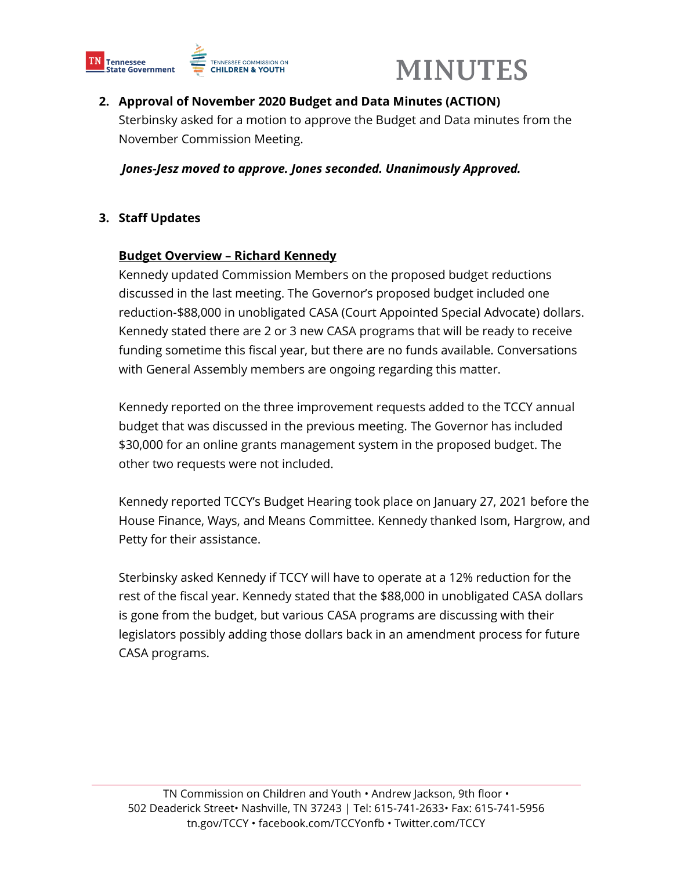



## **2. Approval of November 2020 Budget and Data Minutes (ACTION)**

Sterbinsky asked for a motion to approve the Budget and Data minutes from the November Commission Meeting.

*Jones-Jesz moved to approve. Jones seconded. Unanimously Approved.*

## **3. Staff Updates**

### **Budget Overview – Richard Kennedy**

Kennedy updated Commission Members on the proposed budget reductions discussed in the last meeting. The Governor's proposed budget included one reduction-\$88,000 in unobligated CASA (Court Appointed Special Advocate) dollars. Kennedy stated there are 2 or 3 new CASA programs that will be ready to receive funding sometime this fiscal year, but there are no funds available. Conversations with General Assembly members are ongoing regarding this matter.

Kennedy reported on the three improvement requests added to the TCCY annual budget that was discussed in the previous meeting. The Governor has included \$30,000 for an online grants management system in the proposed budget. The other two requests were not included.

Kennedy reported TCCY's Budget Hearing took place on January 27, 2021 before the House Finance, Ways, and Means Committee. Kennedy thanked Isom, Hargrow, and Petty for their assistance.

Sterbinsky asked Kennedy if TCCY will have to operate at a 12% reduction for the rest of the fiscal year. Kennedy stated that the \$88,000 in unobligated CASA dollars is gone from the budget, but various CASA programs are discussing with their legislators possibly adding those dollars back in an amendment process for future CASA programs.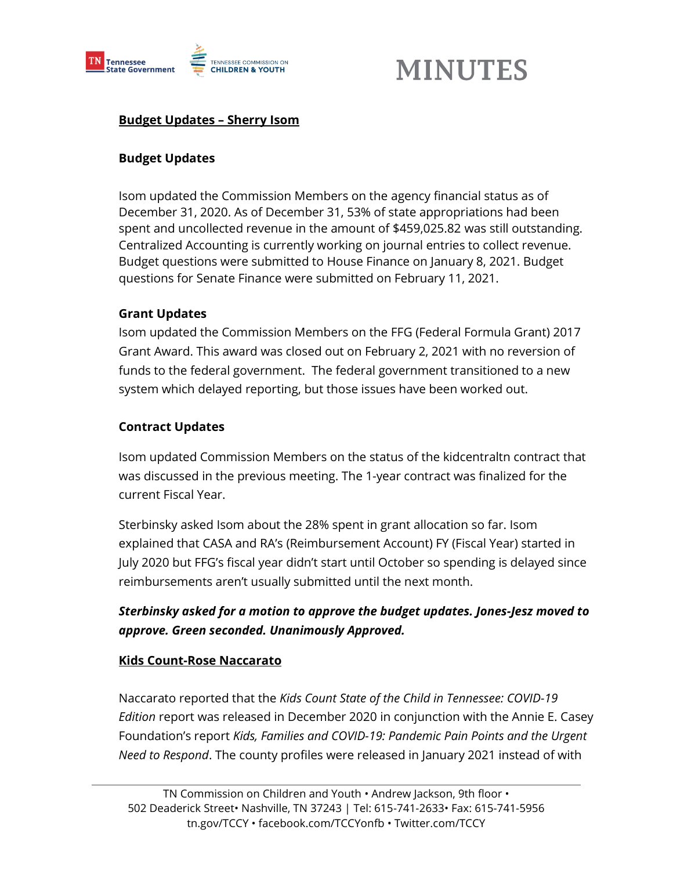

## **MINUTES**

## **Budget Updates – Sherry Isom**

### **Budget Updates**

Isom updated the Commission Members on the agency financial status as of December 31, 2020. As of December 31, 53% of state appropriations had been spent and uncollected revenue in the amount of \$459,025.82 was still outstanding. Centralized Accounting is currently working on journal entries to collect revenue. Budget questions were submitted to House Finance on January 8, 2021. Budget questions for Senate Finance were submitted on February 11, 2021.

### **Grant Updates**

Isom updated the Commission Members on the FFG (Federal Formula Grant) 2017 Grant Award. This award was closed out on February 2, 2021 with no reversion of funds to the federal government. The federal government transitioned to a new system which delayed reporting, but those issues have been worked out.

#### **Contract Updates**

Isom updated Commission Members on the status of the kidcentraltn contract that was discussed in the previous meeting. The 1-year contract was finalized for the current Fiscal Year.

Sterbinsky asked Isom about the 28% spent in grant allocation so far. Isom explained that CASA and RA's (Reimbursement Account) FY (Fiscal Year) started in July 2020 but FFG's fiscal year didn't start until October so spending is delayed since reimbursements aren't usually submitted until the next month.

## *Sterbinsky asked for a motion to approve the budget updates. Jones-Jesz moved to approve. Green seconded. Unanimously Approved.*

### **Kids Count-Rose Naccarato**

Naccarato reported that the *Kids Count State of the Child in Tennessee: COVID-19 Edition* report was released in December 2020 in conjunction with the Annie E. Casey Foundation's report *Kids, Families and COVID-19: Pandemic Pain Points and the Urgent Need to Respond*. The county profiles were released in January 2021 instead of with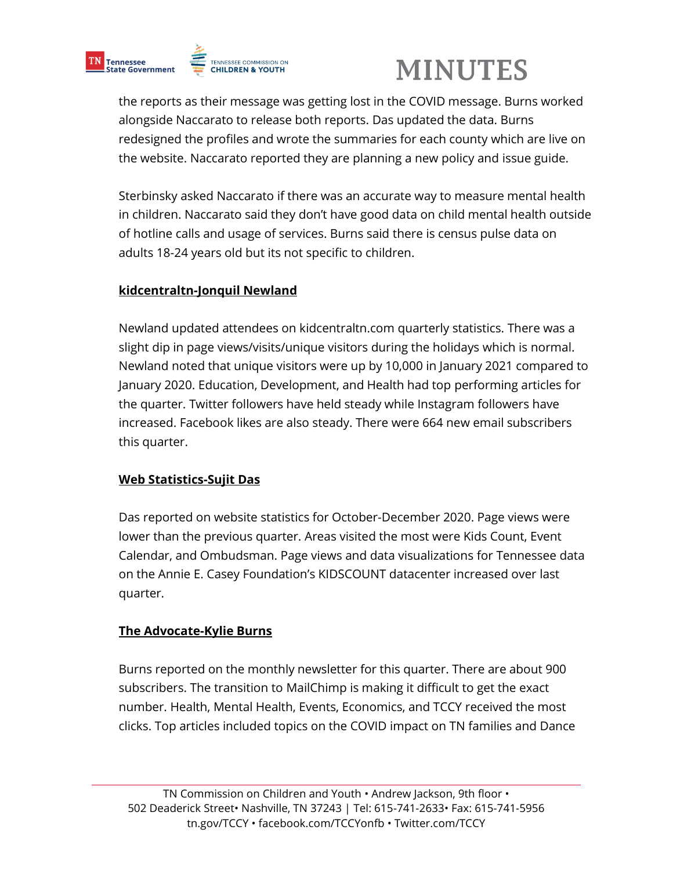

# **MINUTES**

the reports as their message was getting lost in the COVID message. Burns worked alongside Naccarato to release both reports. Das updated the data. Burns redesigned the profiles and wrote the summaries for each county which are live on the website. Naccarato reported they are planning a new policy and issue guide.

Sterbinsky asked Naccarato if there was an accurate way to measure mental health in children. Naccarato said they don't have good data on child mental health outside of hotline calls and usage of services. Burns said there is census pulse data on adults 18-24 years old but its not specific to children.

## **kidcentraltn-Jonquil Newland**

Newland updated attendees on kidcentraltn.com quarterly statistics. There was a slight dip in page views/visits/unique visitors during the holidays which is normal. Newland noted that unique visitors were up by 10,000 in January 2021 compared to January 2020. Education, Development, and Health had top performing articles for the quarter. Twitter followers have held steady while Instagram followers have increased. Facebook likes are also steady. There were 664 new email subscribers this quarter.

## **Web Statistics-Sujit Das**

Das reported on website statistics for October-December 2020. Page views were lower than the previous quarter. Areas visited the most were Kids Count, Event Calendar, and Ombudsman. Page views and data visualizations for Tennessee data on the Annie E. Casey Foundation's KIDSCOUNT datacenter increased over last quarter.

## **The Advocate-Kylie Burns**

Burns reported on the monthly newsletter for this quarter. There are about 900 subscribers. The transition to MailChimp is making it difficult to get the exact number. Health, Mental Health, Events, Economics, and TCCY received the most clicks. Top articles included topics on the COVID impact on TN families and Dance